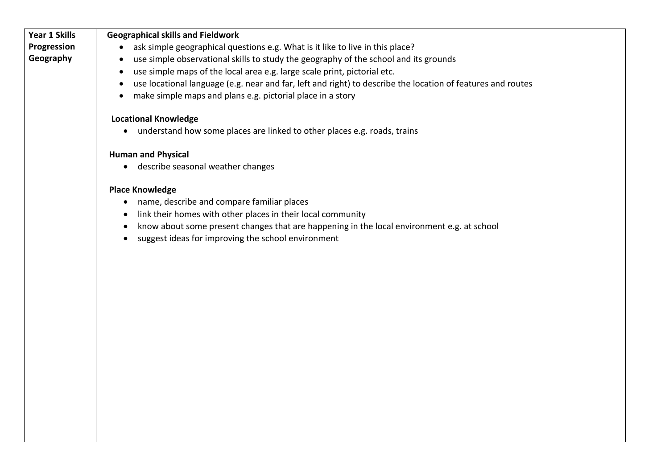| <b>Year 1 Skills</b> | <b>Geographical skills and Fieldwork</b>                                                                                 |
|----------------------|--------------------------------------------------------------------------------------------------------------------------|
| Progression          | ask simple geographical questions e.g. What is it like to live in this place?<br>$\bullet$                               |
| Geography            | use simple observational skills to study the geography of the school and its grounds<br>$\bullet$                        |
|                      | use simple maps of the local area e.g. large scale print, pictorial etc.<br>$\bullet$                                    |
|                      | use locational language (e.g. near and far, left and right) to describe the location of features and routes<br>$\bullet$ |
|                      | make simple maps and plans e.g. pictorial place in a story<br>$\bullet$                                                  |
|                      |                                                                                                                          |
|                      | <b>Locational Knowledge</b>                                                                                              |
|                      | • understand how some places are linked to other places e.g. roads, trains                                               |
|                      | <b>Human and Physical</b>                                                                                                |
|                      | • describe seasonal weather changes                                                                                      |
|                      | <b>Place Knowledge</b>                                                                                                   |
|                      | name, describe and compare familiar places<br>$\bullet$                                                                  |
|                      | link their homes with other places in their local community                                                              |
|                      | know about some present changes that are happening in the local environment e.g. at school                               |
|                      | suggest ideas for improving the school environment<br>$\bullet$                                                          |
|                      |                                                                                                                          |
|                      |                                                                                                                          |
|                      |                                                                                                                          |
|                      |                                                                                                                          |
|                      |                                                                                                                          |
|                      |                                                                                                                          |
|                      |                                                                                                                          |
|                      |                                                                                                                          |
|                      |                                                                                                                          |
|                      |                                                                                                                          |
|                      |                                                                                                                          |
|                      |                                                                                                                          |
|                      |                                                                                                                          |
|                      |                                                                                                                          |
|                      |                                                                                                                          |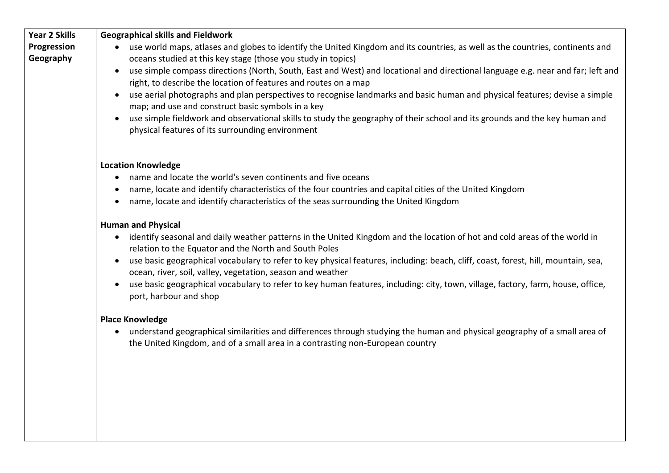| <b>Year 2 Skills</b> | <b>Geographical skills and Fieldwork</b>                                                                                                                                                                                |
|----------------------|-------------------------------------------------------------------------------------------------------------------------------------------------------------------------------------------------------------------------|
| Progression          | use world maps, atlases and globes to identify the United Kingdom and its countries, as well as the countries, continents and                                                                                           |
| Geography            | oceans studied at this key stage (those you study in topics)                                                                                                                                                            |
|                      | use simple compass directions (North, South, East and West) and locational and directional language e.g. near and far; left and<br>$\bullet$<br>right, to describe the location of features and routes on a map         |
|                      | use aerial photographs and plan perspectives to recognise landmarks and basic human and physical features; devise a simple<br>$\bullet$<br>map; and use and construct basic symbols in a key                            |
|                      | use simple fieldwork and observational skills to study the geography of their school and its grounds and the key human and                                                                                              |
|                      | physical features of its surrounding environment                                                                                                                                                                        |
|                      | <b>Location Knowledge</b>                                                                                                                                                                                               |
|                      | name and locate the world's seven continents and five oceans<br>$\bullet$                                                                                                                                               |
|                      | name, locate and identify characteristics of the four countries and capital cities of the United Kingdom<br>$\bullet$                                                                                                   |
|                      | name, locate and identify characteristics of the seas surrounding the United Kingdom<br>$\bullet$                                                                                                                       |
|                      |                                                                                                                                                                                                                         |
|                      | <b>Human and Physical</b>                                                                                                                                                                                               |
|                      | identify seasonal and daily weather patterns in the United Kingdom and the location of hot and cold areas of the world in<br>$\bullet$<br>relation to the Equator and the North and South Poles                         |
|                      | use basic geographical vocabulary to refer to key physical features, including: beach, cliff, coast, forest, hill, mountain, sea,<br>$\bullet$<br>ocean, river, soil, valley, vegetation, season and weather            |
|                      | use basic geographical vocabulary to refer to key human features, including: city, town, village, factory, farm, house, office,<br>port, harbour and shop                                                               |
|                      | <b>Place Knowledge</b>                                                                                                                                                                                                  |
|                      | understand geographical similarities and differences through studying the human and physical geography of a small area of<br>$\bullet$<br>the United Kingdom, and of a small area in a contrasting non-European country |
|                      |                                                                                                                                                                                                                         |
|                      |                                                                                                                                                                                                                         |
|                      |                                                                                                                                                                                                                         |
|                      |                                                                                                                                                                                                                         |
|                      |                                                                                                                                                                                                                         |
|                      |                                                                                                                                                                                                                         |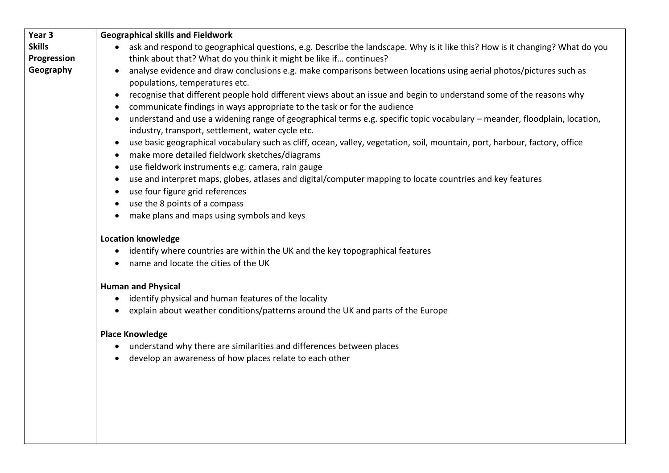| Year 3        | <b>Geographical skills and Fieldwork</b>                                                                                                                                                                                  |
|---------------|---------------------------------------------------------------------------------------------------------------------------------------------------------------------------------------------------------------------------|
| <b>Skills</b> | ask and respond to geographical questions, e.g. Describe the landscape. Why is it like this? How is it changing? What do you<br>$\bullet$                                                                                 |
| Progression   | think about that? What do you think it might be like if continues?                                                                                                                                                        |
| Geography     | analyse evidence and draw conclusions e.g. make comparisons between locations using aerial photos/pictures such as<br>$\bullet$<br>populations, temperatures etc.                                                         |
|               | recognise that different people hold different views about an issue and begin to understand some of the reasons why<br>$\bullet$<br>communicate findings in ways appropriate to the task or for the audience<br>$\bullet$ |
|               | understand and use a widening range of geographical terms e.g. specific topic vocabulary - meander, floodplain, location,<br>$\bullet$<br>industry, transport, settlement, water cycle etc.                               |
|               | use basic geographical vocabulary such as cliff, ocean, valley, vegetation, soil, mountain, port, harbour, factory, office<br>$\bullet$<br>make more detailed fieldwork sketches/diagrams<br>$\bullet$                    |
|               | use fieldwork instruments e.g. camera, rain gauge<br>$\bullet$                                                                                                                                                            |
|               | use and interpret maps, globes, atlases and digital/computer mapping to locate countries and key features<br>$\bullet$                                                                                                    |
|               | use four figure grid references                                                                                                                                                                                           |
|               | use the 8 points of a compass<br>$\bullet$                                                                                                                                                                                |
|               | make plans and maps using symbols and keys<br>$\bullet$                                                                                                                                                                   |
|               | <b>Location knowledge</b><br>identify where countries are within the UK and the key topographical features<br>$\bullet$<br>name and locate the cities of the UK<br>$\bullet$                                              |
|               | <b>Human and Physical</b>                                                                                                                                                                                                 |
|               | identify physical and human features of the locality<br>$\bullet$                                                                                                                                                         |
|               | explain about weather conditions/patterns around the UK and parts of the Europe<br>$\bullet$                                                                                                                              |
|               | <b>Place Knowledge</b>                                                                                                                                                                                                    |
|               | understand why there are similarities and differences between places<br>$\bullet$<br>develop an awareness of how places relate to each other<br>$\bullet$                                                                 |
|               |                                                                                                                                                                                                                           |
|               |                                                                                                                                                                                                                           |
|               |                                                                                                                                                                                                                           |
|               |                                                                                                                                                                                                                           |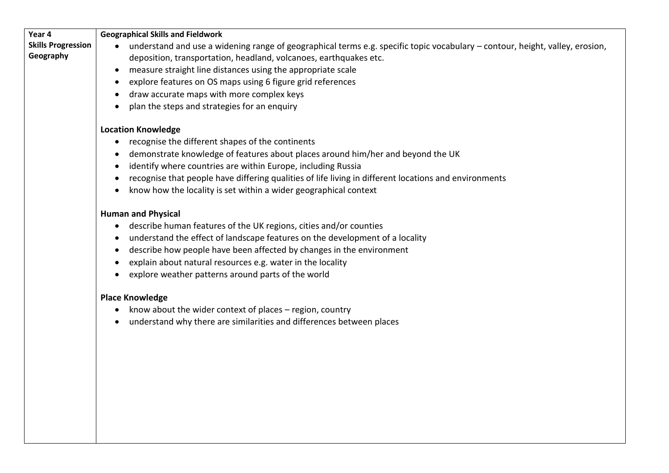| Year 4                    | <b>Geographical Skills and Fieldwork</b>                                                                                                  |
|---------------------------|-------------------------------------------------------------------------------------------------------------------------------------------|
| <b>Skills Progression</b> | understand and use a widening range of geographical terms e.g. specific topic vocabulary - contour, height, valley, erosion,<br>$\bullet$ |
| Geography                 | deposition, transportation, headland, volcanoes, earthquakes etc.                                                                         |
|                           | measure straight line distances using the appropriate scale<br>$\bullet$                                                                  |
|                           | explore features on OS maps using 6 figure grid references                                                                                |
|                           | draw accurate maps with more complex keys                                                                                                 |
|                           | plan the steps and strategies for an enquiry                                                                                              |
|                           | <b>Location Knowledge</b>                                                                                                                 |
|                           | recognise the different shapes of the continents                                                                                          |
|                           | demonstrate knowledge of features about places around him/her and beyond the UK                                                           |
|                           | identify where countries are within Europe, including Russia                                                                              |
|                           | recognise that people have differing qualities of life living in different locations and environments                                     |
|                           | know how the locality is set within a wider geographical context                                                                          |
|                           |                                                                                                                                           |
|                           | <b>Human and Physical</b>                                                                                                                 |
|                           | describe human features of the UK regions, cities and/or counties<br>$\bullet$                                                            |
|                           | understand the effect of landscape features on the development of a locality<br>$\bullet$                                                 |
|                           | describe how people have been affected by changes in the environment                                                                      |
|                           | explain about natural resources e.g. water in the locality                                                                                |
|                           | explore weather patterns around parts of the world                                                                                        |
|                           | <b>Place Knowledge</b>                                                                                                                    |
|                           | know about the wider context of places - region, country<br>$\bullet$                                                                     |
|                           | understand why there are similarities and differences between places<br>$\bullet$                                                         |
|                           |                                                                                                                                           |
|                           |                                                                                                                                           |
|                           |                                                                                                                                           |
|                           |                                                                                                                                           |
|                           |                                                                                                                                           |
|                           |                                                                                                                                           |
|                           |                                                                                                                                           |
|                           |                                                                                                                                           |
|                           |                                                                                                                                           |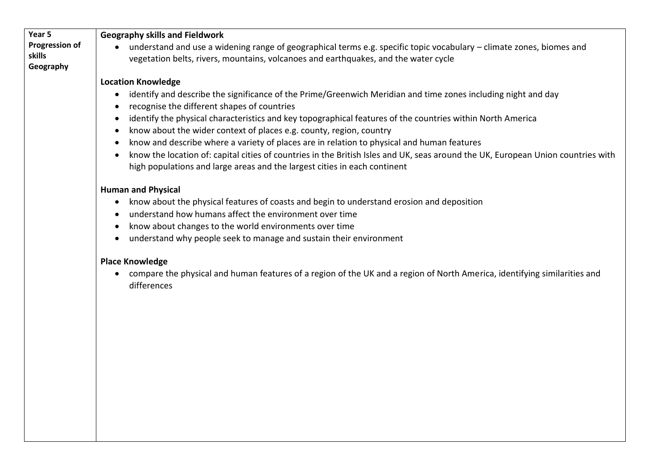| Year 5                | <b>Geography skills and Fieldwork</b>                                                                                                    |
|-----------------------|------------------------------------------------------------------------------------------------------------------------------------------|
| <b>Progression of</b> | understand and use a widening range of geographical terms e.g. specific topic vocabulary - climate zones, biomes and<br>$\bullet$        |
| skills                | vegetation belts, rivers, mountains, volcanoes and earthquakes, and the water cycle                                                      |
| Geography             |                                                                                                                                          |
|                       | <b>Location Knowledge</b>                                                                                                                |
|                       | identify and describe the significance of the Prime/Greenwich Meridian and time zones including night and day                            |
|                       | recognise the different shapes of countries                                                                                              |
|                       | identify the physical characteristics and key topographical features of the countries within North America<br>$\bullet$                  |
|                       | know about the wider context of places e.g. county, region, country<br>$\bullet$                                                         |
|                       | know and describe where a variety of places are in relation to physical and human features                                               |
|                       | know the location of: capital cities of countries in the British Isles and UK, seas around the UK, European Union countries with         |
|                       | high populations and large areas and the largest cities in each continent                                                                |
|                       | <b>Human and Physical</b>                                                                                                                |
|                       | know about the physical features of coasts and begin to understand erosion and deposition<br>$\bullet$                                   |
|                       | understand how humans affect the environment over time                                                                                   |
|                       | know about changes to the world environments over time<br>$\bullet$                                                                      |
|                       | understand why people seek to manage and sustain their environment                                                                       |
|                       |                                                                                                                                          |
|                       | <b>Place Knowledge</b>                                                                                                                   |
|                       | compare the physical and human features of a region of the UK and a region of North America, identifying similarities and<br>differences |
|                       |                                                                                                                                          |
|                       |                                                                                                                                          |
|                       |                                                                                                                                          |
|                       |                                                                                                                                          |
|                       |                                                                                                                                          |
|                       |                                                                                                                                          |
|                       |                                                                                                                                          |
|                       |                                                                                                                                          |
|                       |                                                                                                                                          |
|                       |                                                                                                                                          |